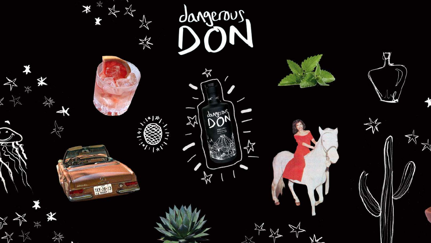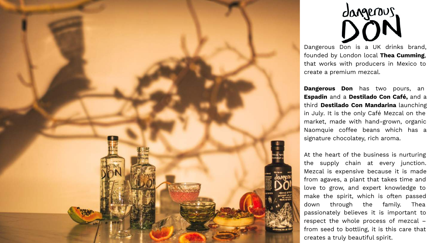

# dangerous

Dangerous Don is a UK drinks brand, founded by London local **Thea Cumming**, that works with producers in Mexico to create a premium mezcal.

**Dangerous Don** has two pours, an **Espadin** and a **Destilado Con Café,** and a third **Destilado Con Mandarina** launching in July. It is the only Café Mezcal on the market, made with hand-grown, organic Naomquie coffee beans which has a signature chocolatey, rich aroma.

At the heart of the business is nurturing the supply chain at every junction. Mezcal is expensive because it is made from agaves, a plant that takes time and love to grow, and expert knowledge to make the spirit, which is often passed down through the family. Thea passionately believes it is important to respect the whole process of mezcal – from seed to bottling, it is this care that creates a truly beautiful spirit.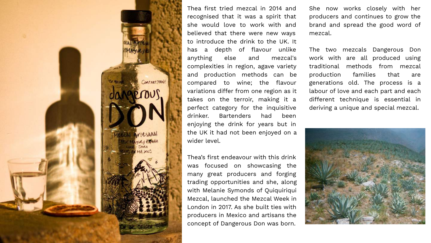![](_page_2_Picture_0.jpeg)

Thea first tried mezcal in 2014 and recognised that it was a spirit that she would love to work with and believed that there were new ways to introduce the drink to the UK. It has a depth of flavour unlike anything else and mezcal's complexities in region, agave variety and production methods can be compared to wine; the flavour variations differ from one region as it takes on the terroir, making it a perfect category for the inquisitive drinker. Bartenders had been enjoying the drink for years but in the UK it had not been enjoyed on a wider level.

Thea's first endeavour with this drink was focused on showcasing the many great producers and forging trading opportunities and she, along with Melanie Symonds of Quiquiriqui Mezcal, launched the Mezcal Week in London in 2017. As she built ties with producers in Mexico and artisans the concept of Dangerous Don was born.

She now works closely with her producers and continues to grow the brand and spread the good word of mezcal.

The two mezcals Dangerous Don work with are all produced using traditional methods from mezcal production families that are generations old. The process is a labour of love and each part and each different technique is essential in deriving a unique and special mezcal.

![](_page_2_Picture_5.jpeg)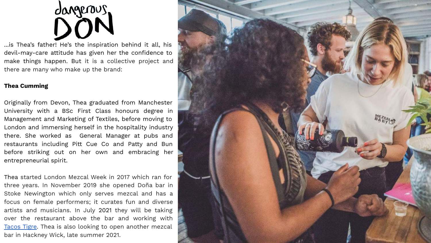![](_page_3_Picture_0.jpeg)

...is Thea's father! He's the inspiration behind it all, his devil-may-care attitude has given her the confidence to make things happen. But it is a collective project and there are many who make up the brand:

# **Thea Cumming**

Originally from Devon, Thea graduated from Manchester University with a BSc First Class honours degree in Management and Marketing of Textiles, before moving to London and immersing herself in the hospitality industry there. She worked as General Manager at pubs and restaurants including Pitt Cue Co and Patty and Bun before striking out on her own and embracing her entrepreneurial spirit.

Thea started London Mezcal Week in 2017 which ran for three years. In November 2019 she opened Doña bar in Stoke Newington which only serves mezcal and has a focus on female performers; it curates fun and diverse artists and musicians. In July 2021 they will be taking over the restaurant above the bar and working with [Tacos Tigre](https://tigretacos.com/). Thea is also looking to open another mezcal bar in Hackney Wick, late summer 2021.

![](_page_3_Picture_5.jpeg)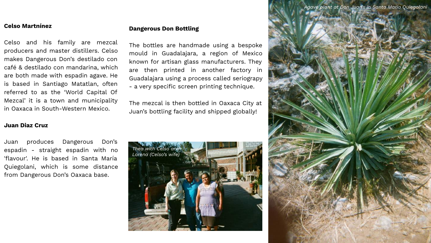# **Celso Martnínez**

Celso and his family are mezcal producers and master distillers. Celso makes Dangerous Don's destilado con café & destilado con mandarina, which are both made with espadin agave. He is based in Santiago Matatlan, often referred to as the 'World Capital Of Mezcal' it is a town and municipality in Oaxaca in South-Western Mexico.

# **Juan Diaz Cruz**

Juan produces Dangerous Don's espadin - straight espadin with no 'flavour'. He is based in Santa María Quiegolani, which is some distance from Dangerous Don's Oaxaca base.

## **Dangerous Don Bottling**

The bottles are handmade using a bespoke mould in Guadalajara, a region of Mexico known for artisan glass manufacturers. They are then printed in another factory in Guadalajara using a process called seriograpy - a very specific screen printing technique.

The mezcal is then bottled in Oaxaca City at Juan's bottling facility and shipped globally!

![](_page_4_Picture_7.jpeg)

![](_page_4_Picture_8.jpeg)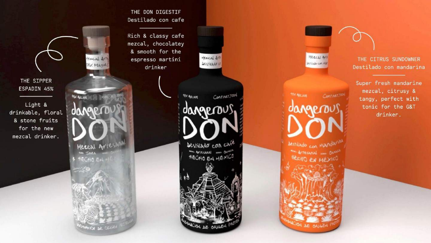THE DON DIGESTIF Destilado con cafe

Rich & classy cafe mezcal, chocolatey & smooth for the espresso martini drinker

![](_page_5_Picture_2.jpeg)

dangerou

bestilado con cafe

**WORK AFTESBABL ONE ONES** 

AECHO EN MÉXICO

Cont.net.700

**YBY AIL VOI** 

**MERCALARE** Institute con NW

Continer<sub>700</sub> **IAGP** M bestilado con Mandarin HECHO EN MEXICO

**AE ORIGI** 

THE CITRUS SUNDOWNER Destilado con mandarina

Super fresh mandarine mezcal, citrusy & tangy, perfect with tonic for the G&T drinker.

THE SIPPER ESPADIN 45%

Light & drinkable, floral & stone fruits for the new mezcal drinker.

Hercal AVT by Maguel **15x Ale vot UN** Mercal Artesanal um Joyes HECHO EN HE ACION DE CIENSE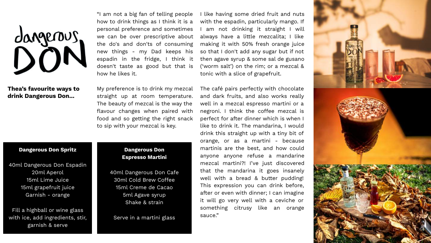![](_page_6_Picture_0.jpeg)

# **Thea's favourite ways to drink Dangerous Don...**

"I am not a big fan of telling people how to drink things as I think it is a personal preference and sometimes we can be over prescriptive about the do's and don'ts of consuming new things - my Dad keeps his espadin in the fridge, I think it doesn't taste as good but that is how he likes it.

My preference is to drink my mezcal straight up at room temperature. The beauty of mezcal is the way the flavour changes when paired with food and so getting the right snack to sip with your mezcal is key.

### **Dangerous Don Spritz**

40ml Dangerous Don Espadin 20ml Aperol 15ml Lime Juice 15ml grapefruit juice Garnish - orange

Fill a highball or wine glass with ice, add ingredients, stir, garnish & serve

# **Dangerous Don Espresso Martini**

40ml Dangerous Don Cafe 30ml Cold Brew Coffee 15ml Creme de Cacao 5ml Agave syrup Shake & strain

Serve in a martini glass

I like having some dried fruit and nuts with the espadin, particularly mango. If I am not drinking it straight I will always have a little mezcalita; I like making it with 50% fresh orange juice so that I don't add any sugar but if not then agave syrup & some sal de gusano ('worm salt') on the rim; or a mezcal & tonic with a slice of grapefruit.

The café pairs perfectly with chocolate and dark fruits, and also works really well in a mezcal espresso martini or a negroni. I think the coffee mezcal is perfect for after dinner which is when I like to drink it. The mandarina, I would drink this straight up with a tiny bit of orange, or as a martini - because martinis are the best, and how could anyone anyone refuse a mandarine mezcal martini?! I've just discovered that the mandarina it goes insanely well with a bread & butter pudding! This expression you can drink before, after or even with dinner; I can imagine it will go very well with a ceviche or something citrusy like an orange sauce."

![](_page_6_Picture_12.jpeg)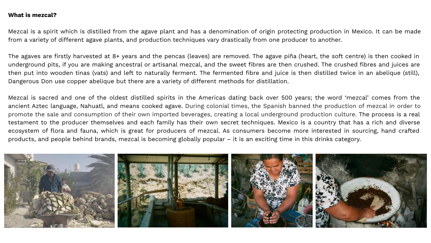# **What is mezcal?**

Mezcal is a spirit which is distilled from the agave plant and has a denomination of origin protecting production in Mexico. It can be made from a variety of different agave plants, and production techniques vary drastically from one producer to another.

The agaves are firstly harvested at 8+ years and the pencas (leaves) are removed. The agave piña (heart, the soft centre) is then cooked in underground pits, if you are making ancestral or artisanal mezcal, and the sweet fibres are then crushed. The crushed fibres and juices are then put into wooden tinas (vats) and left to naturally ferment. The fermented fibre and juice is then distilled twice in an abelique (still), Dangerous Don use copper abelique but there are a variety of different methods for distillation.

Mezcal is sacred and one of the oldest distilled spirits in the Americas dating back over 500 years; the word 'mezcal' comes from the ancient Aztec language, Nahuatl, and means cooked agave. During colonial times, the Spanish banned the production of mezcal in order to promote the sale and consumption of their own imported beverages, creating a local underground production culture. The process is a real testament to the producer themselves and each family has their own secret techniques. Mexico is a country that has a rich and diverse ecosystem of flora and fauna, which is great for producers of mezcal. As consumers become more interested in sourcing, hand crafted products, and people behind brands, mezcal is becoming globally popular – it is an exciting time in this drinks category.

![](_page_7_Picture_4.jpeg)